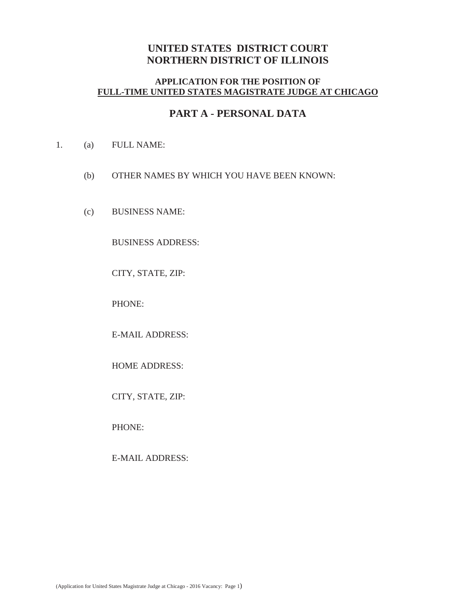## **UNITED STATES DISTRICT COURT NORTHERN DISTRICT OF ILLINOIS**

### **APPLICATION FOR THE POSITION OF FULL-TIME UNITED STATES MAGISTRATE JUDGE AT CHICAGO**

## **PART A - PERSONAL DATA**

- 1. (a) FULL NAME:
	- (b) OTHER NAMES BY WHICH YOU HAVE BEEN KNOWN:
	- (c) BUSINESS NAME:

BUSINESS ADDRESS:

CITY, STATE, ZIP:

PHONE:

E-MAIL ADDRESS:

HOME ADDRESS:

CITY, STATE, ZIP:

PHONE:

E-MAIL ADDRESS: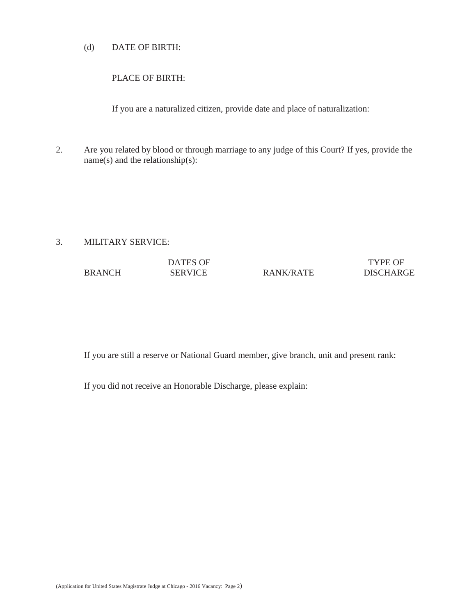#### (d) DATE OF BIRTH:

#### PLACE OF BIRTH:

If you are a naturalized citizen, provide date and place of naturalization:

2. Are you related by blood or through marriage to any judge of this Court? If yes, provide the name(s) and the relationship(s):

#### 3. MILITARY SERVICE:

# DATES OF TYPE OF BRANCH SERVICE RANK/RATE DISCHARGE

If you are still a reserve or National Guard member, give branch, unit and present rank:

If you did not receive an Honorable Discharge, please explain: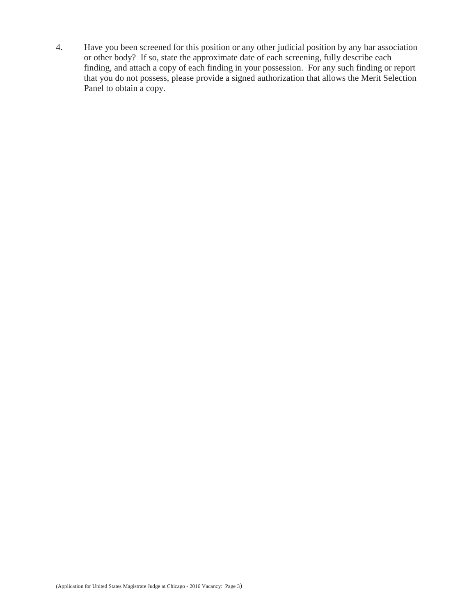4. Have you been screened for this position or any other judicial position by any bar association or other body? If so, state the approximate date of each screening, fully describe each finding, and attach a copy of each finding in your possession. For any such finding or report that you do not possess, please provide a signed authorization that allows the Merit Selection Panel to obtain a copy.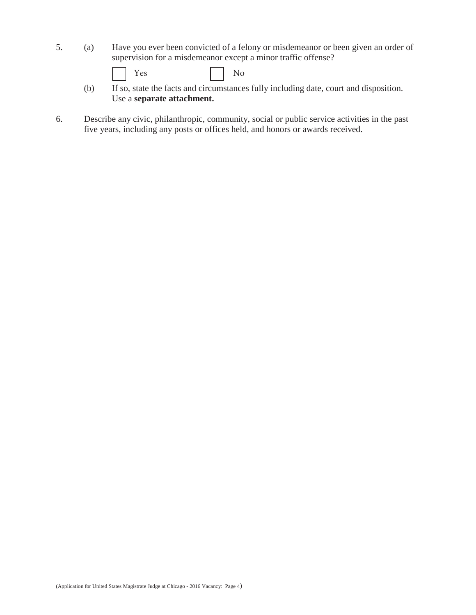- 5. (a) Have you ever been convicted of a felony or misdemeanor or been given an order of supervision for a misdemeanor except a minor traffic offense?
	- $Yes$   $No$
	- (b) If so, state the facts and circumstances fully including date, court and disposition. Use a **separate attachment.**
- 6. Describe any civic, philanthropic, community, social or public service activities in the past five years, including any posts or offices held, and honors or awards received.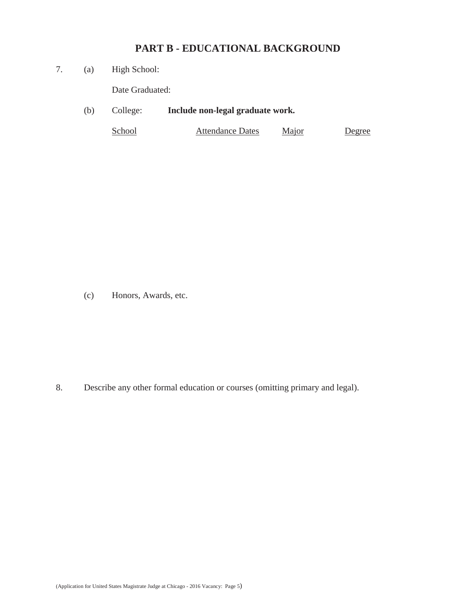# **PART B - EDUCATIONAL BACKGROUND**

7. (a) High School:

Date Graduated:

(b) College: **Include non-legal graduate work.**

School Attendance Dates Major Degree

(c) Honors, Awards, etc.

8. Describe any other formal education or courses (omitting primary and legal).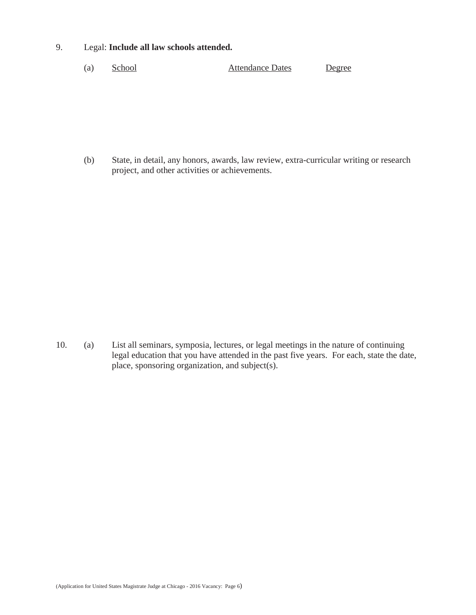#### 9. Legal: **Include all law schools attended.**

(a) School Attendance Dates Degree

(b) State, in detail, any honors, awards, law review, extra-curricular writing or research project, and other activities or achievements.

10. (a) List all seminars, symposia, lectures, or legal meetings in the nature of continuing legal education that you have attended in the past five years. For each, state the date, place, sponsoring organization, and subject(s).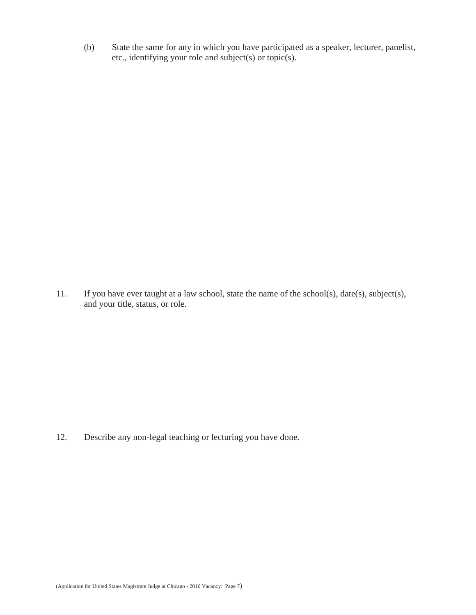(b) State the same for any in which you have participated as a speaker, lecturer, panelist, etc., identifying your role and subject(s) or topic(s).

11. If you have ever taught at a law school, state the name of the school(s), date(s), subject(s), and your title, status, or role.

12. Describe any non-legal teaching or lecturing you have done.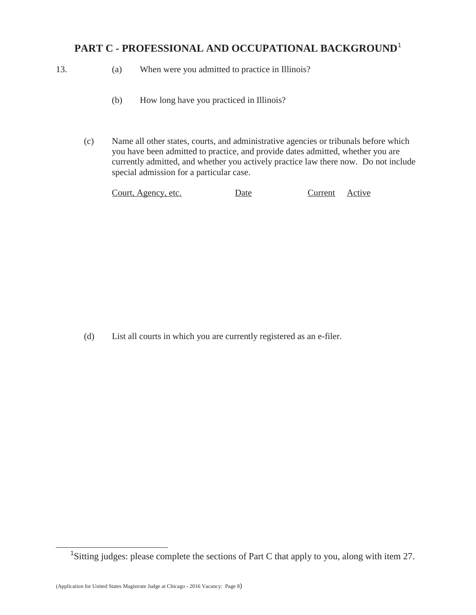# **PART C - PROFESSIONAL AND OCCUPATIONAL BACKGROUND**<sup>1</sup>

- 
- 13. (a) When were you admitted to practice in Illinois?
	- (b) How long have you practiced in Illinois?
	- (c) Name all other states, courts, and administrative agencies or tribunals before which you have been admitted to practice, and provide dates admitted, whether you are currently admitted, and whether you actively practice law there now. Do not include special admission for a particular case.

| Court, Agency, etc.<br>Current Active<br>Date |
|-----------------------------------------------|
|-----------------------------------------------|

(d) List all courts in which you are currently registered as an e-filer.

<sup>&</sup>lt;sup>1</sup>Sitting judges: please complete the sections of Part C that apply to you, along with item 27.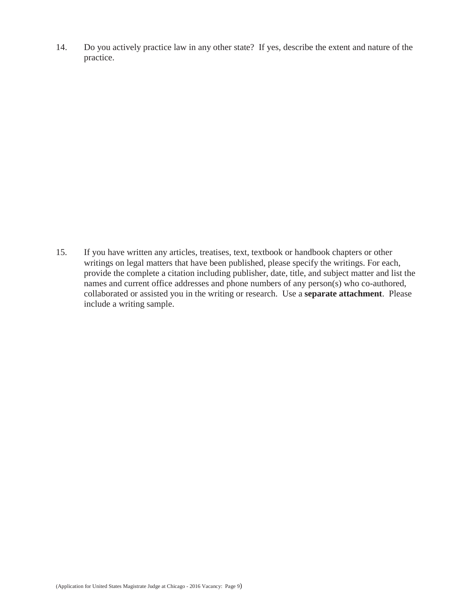14. Do you actively practice law in any other state? If yes, describe the extent and nature of the practice.

15. If you have written any articles, treatises, text, textbook or handbook chapters or other writings on legal matters that have been published, please specify the writings. For each, provide the complete a citation including publisher, date, title, and subject matter and list the names and current office addresses and phone numbers of any person(s) who co-authored, collaborated or assisted you in the writing or research. Use a **separate attachment**. Please include a writing sample.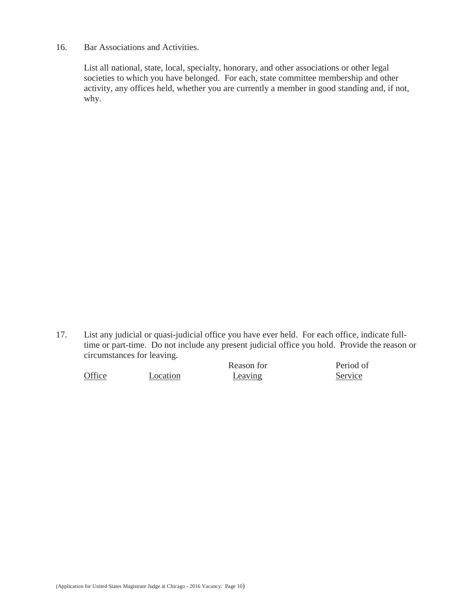16. Bar Associations and Activities.

List all national, state, local, specialty, honorary, and other associations or other legal societies to which you have belonged. For each, state committee membership and other activity, any offices held, whether you are currently a member in good standing and, if not, why.

17. List any judicial or quasi-judicial office you have ever held. For each office, indicate fulltime or part-time. Do not include any present judicial office you hold. Provide the reason or circumstances for leaving.

|        |          | Reason for | Period of |
|--------|----------|------------|-----------|
| Office | Location | Leaving    | Service   |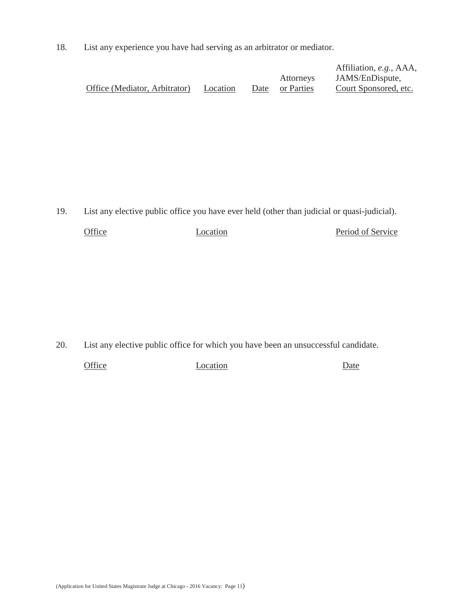18. List any experience you have had serving as an arbitrator or mediator.

|                               |          |                 | Affiliation, e.g., AAA, |
|-------------------------------|----------|-----------------|-------------------------|
|                               |          | Attorneys       | JAMS/EnDispute,         |
| Office (Mediator, Arbitrator) | Location | Date or Parties | Court Sponsored, etc.   |

19. List any elective public office you have ever held (other than judicial or quasi-judicial).

| Office | Location | Period of Service |
|--------|----------|-------------------|
|        |          |                   |

20. List any elective public office for which you have been an unsuccessful candidate.

Office Location **Date**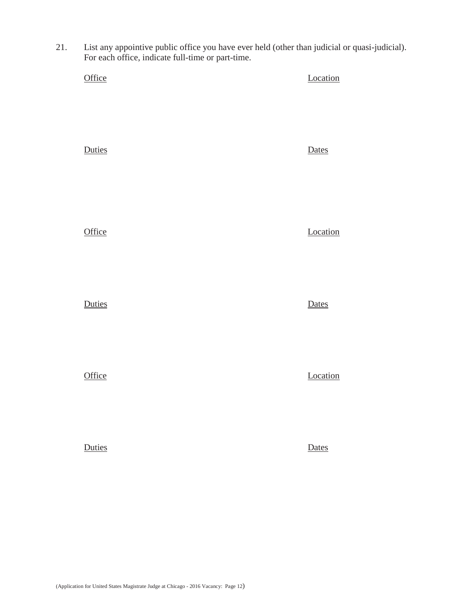21. List any appointive public office you have ever held (other than judicial or quasi-judicial). For each office, indicate full-time or part-time.

| Office | Location |
|--------|----------|
| Duties | Dates    |
| Office | Location |
| Duties | Dates    |
| Office | Location |
| Duties | Dates    |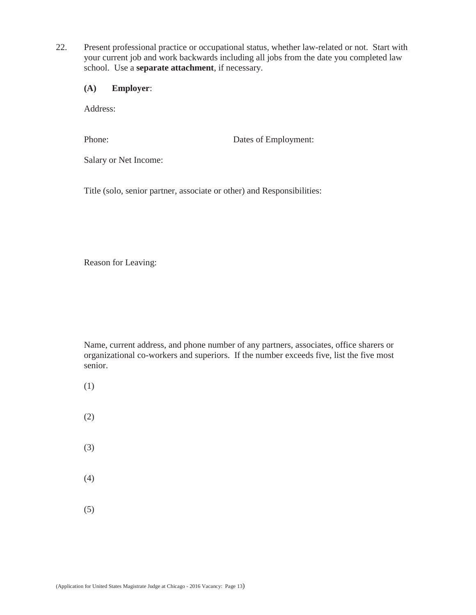- 22. Present professional practice or occupational status, whether law-related or not. Start with your current job and work backwards including all jobs from the date you completed law school. Use a **separate attachment**, if necessary.
	- **(A) Employer**:

Address:

Phone: Dates of Employment:

Salary or Net Income:

Title (solo, senior partner, associate or other) and Responsibilities:

Reason for Leaving:

- (1)
- (2)
- (3)
- (4)
- (5)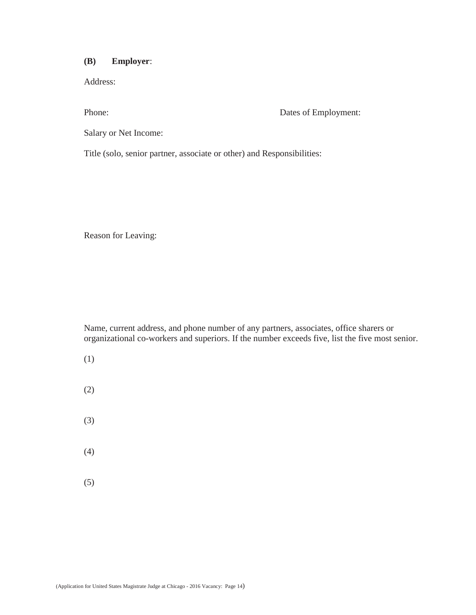### **(B) Employer**:

Address:

Phone: Dates of Employment:

Salary or Net Income:

Title (solo, senior partner, associate or other) and Responsibilities:

Reason for Leaving:

- (1)
- (2)
- (3)
- (4)
- (5)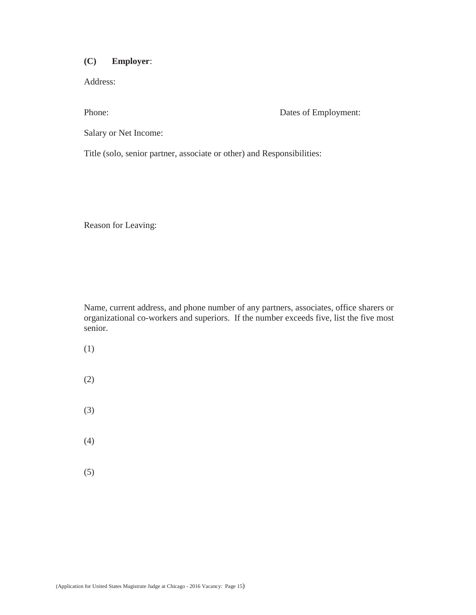## **(C) Employer**:

Address:

Phone: Dates of Employment:

Salary or Net Income:

Title (solo, senior partner, associate or other) and Responsibilities:

Reason for Leaving:

- (1)
- (2)
- (3)
- (4)
- (5)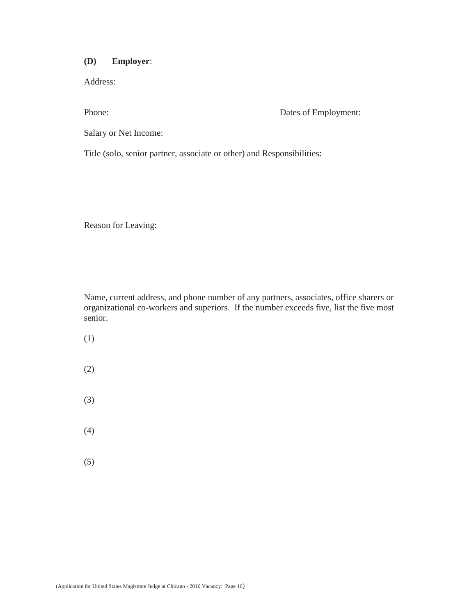#### **(D) Employer**:

Address:

Phone: Dates of Employment:

Salary or Net Income:

Title (solo, senior partner, associate or other) and Responsibilities:

Reason for Leaving:

- (1)
- (2)
- (3)
- (4)
- (5)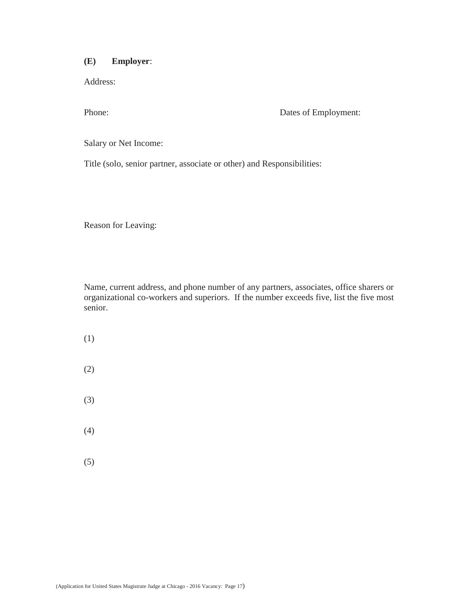### **(E) Employer**:

Address:

Phone: Dates of Employment:

Salary or Net Income:

Title (solo, senior partner, associate or other) and Responsibilities:

Reason for Leaving:

- (1)
- (2)
- (3)
- (4)
- (5)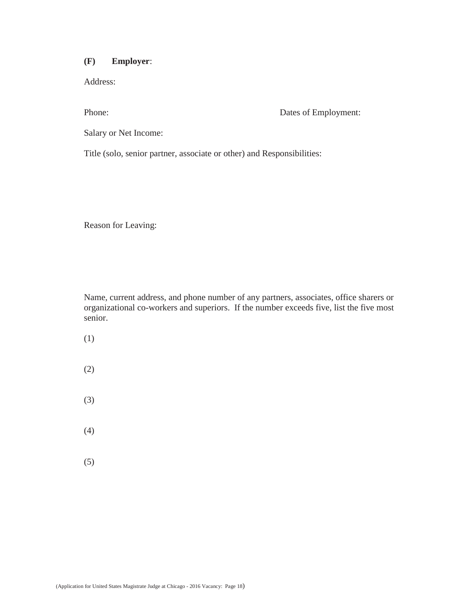#### **(F) Employer**:

Address:

Phone: Dates of Employment:

Salary or Net Income:

Title (solo, senior partner, associate or other) and Responsibilities:

Reason for Leaving:

- (1)
- (2)
- (3)
- (4)
- (5)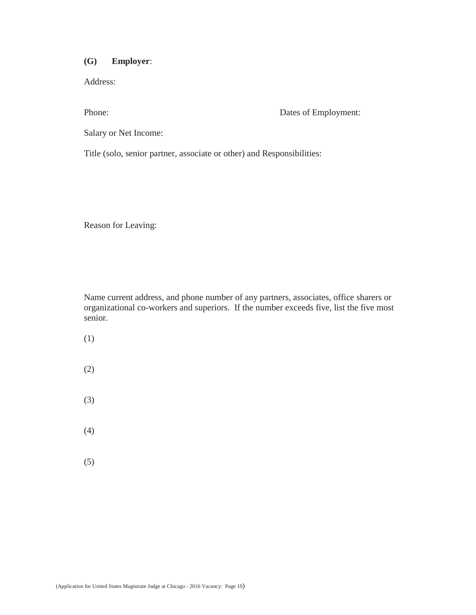#### **(G) Employer**:

Address:

Phone: Dates of Employment:

Salary or Net Income:

Title (solo, senior partner, associate or other) and Responsibilities:

Reason for Leaving:

- (1)
- (2)
- (3)
- (4)
- (5)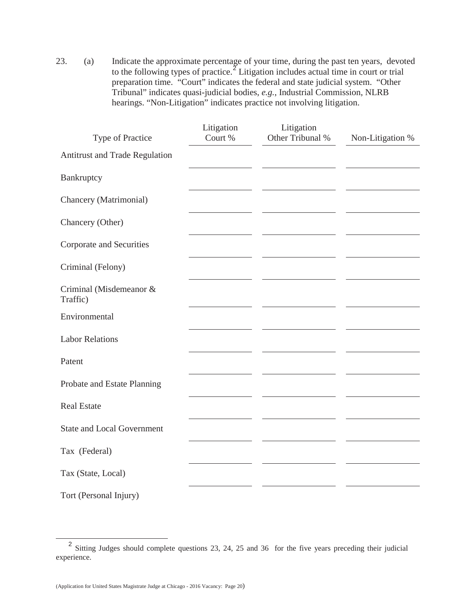23. (a) Indicate the approximate percentage of your time, during the past ten years, devoted to the following types of practice.<sup> $\frac{z}{z}$ </sup> Litigation includes actual time in court or trial preparation time. "Court" indicates the federal and state judicial system. "Other Tribunal" indicates quasi-judicial bodies, *e.g.*, Industrial Commission, NLRB hearings. "Non-Litigation" indicates practice not involving litigation.

| Type of Practice                    | Litigation<br>Court % | Litigation<br>Other Tribunal % | Non-Litigation % |
|-------------------------------------|-----------------------|--------------------------------|------------------|
| Antitrust and Trade Regulation      |                       |                                |                  |
| Bankruptcy                          |                       |                                |                  |
| Chancery (Matrimonial)              |                       |                                |                  |
| Chancery (Other)                    |                       |                                |                  |
| Corporate and Securities            |                       |                                |                  |
| Criminal (Felony)                   |                       |                                |                  |
| Criminal (Misdemeanor &<br>Traffic) |                       |                                |                  |
| Environmental                       |                       |                                |                  |
| <b>Labor Relations</b>              |                       |                                |                  |
| Patent                              |                       |                                |                  |
| Probate and Estate Planning         |                       |                                |                  |
| <b>Real Estate</b>                  |                       |                                |                  |
| <b>State and Local Government</b>   |                       |                                |                  |
| Tax (Federal)                       |                       |                                |                  |
| Tax (State, Local)                  |                       |                                |                  |
| Tort (Personal Injury)              |                       |                                |                  |

<sup>&</sup>lt;sup>2</sup> Sitting Judges should complete questions 23, 24, 25 and 36 for the five years preceding their judicial experience.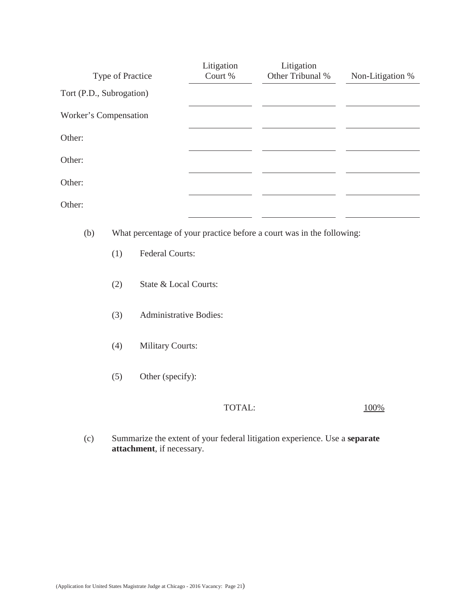|                          | Type of Practice |                               | Litigation<br>Court % | Litigation<br>Other Tribunal %                                        | Non-Litigation % |
|--------------------------|------------------|-------------------------------|-----------------------|-----------------------------------------------------------------------|------------------|
| Tort (P.D., Subrogation) |                  |                               |                       |                                                                       |                  |
| Worker's Compensation    |                  |                               |                       |                                                                       |                  |
| Other:                   |                  |                               |                       |                                                                       |                  |
| Other:                   |                  |                               |                       |                                                                       |                  |
| Other:                   |                  |                               |                       |                                                                       |                  |
| Other:                   |                  |                               |                       |                                                                       |                  |
| (b)                      |                  |                               |                       | What percentage of your practice before a court was in the following: |                  |
|                          | (1)              | Federal Courts:               |                       |                                                                       |                  |
|                          | (2)              | State & Local Courts:         |                       |                                                                       |                  |
|                          | (3)              | <b>Administrative Bodies:</b> |                       |                                                                       |                  |
|                          | (4)              | <b>Military Courts:</b>       |                       |                                                                       |                  |
|                          | (5)              | Other (specify):              |                       |                                                                       |                  |

## TOTAL:  $\frac{100\%}{100\%}$

(c) Summarize the extent of your federal litigation experience. Use a **separate attachment**, if necessary.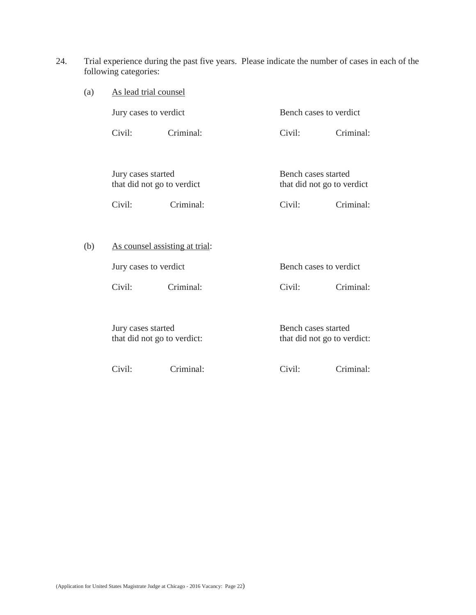24. Trial experience during the past five years. Please indicate the number of cases in each of the following categories:

| (a)<br>As lead trial counsel |                                                   |           |                                                    |           |
|------------------------------|---------------------------------------------------|-----------|----------------------------------------------------|-----------|
|                              | Jury cases to verdict                             |           | Bench cases to verdict                             |           |
|                              | Civil:                                            | Criminal: | Civil:                                             | Criminal: |
|                              |                                                   |           |                                                    |           |
|                              | Jury cases started<br>that did not go to verdict  |           | Bench cases started<br>that did not go to verdict  |           |
|                              | Civil:                                            | Criminal: | Civil:                                             | Criminal: |
|                              |                                                   |           |                                                    |           |
| (b)                          | As counsel assisting at trial:                    |           |                                                    |           |
|                              | Jury cases to verdict                             |           | Bench cases to verdict                             |           |
|                              | Civil:                                            | Criminal: | Civil:                                             | Criminal: |
|                              |                                                   |           |                                                    |           |
|                              | Jury cases started<br>that did not go to verdict: |           | Bench cases started<br>that did not go to verdict: |           |
|                              | Civil:                                            | Criminal: | Civil:                                             | Criminal: |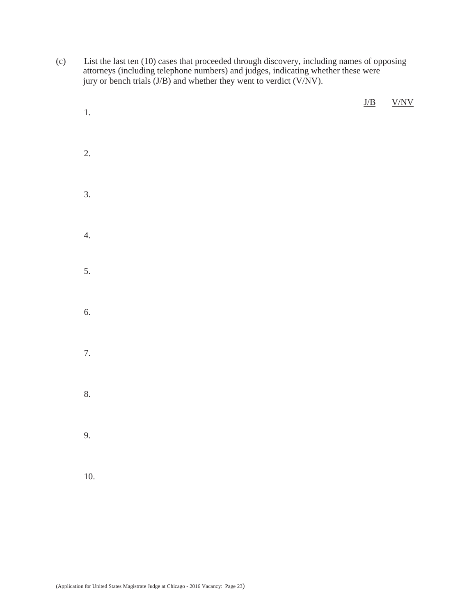(c) List the last ten (10) cases that proceeded through discovery, including names of opposing attorneys (including telephone numbers) and judges, indicating whether these were jury or bench trials (J/B) and whether they went to verdict (V/NV).

| $1. \,$          | $\underline{J/B}$ | ${\rm V/NV}$ |
|------------------|-------------------|--------------|
| 2.               |                   |              |
| $\overline{3}$ . |                   |              |
| 4.               |                   |              |
| 5.               |                   |              |
| 6.               |                   |              |
| 7.               |                   |              |
| 8.               |                   |              |
| 9.               |                   |              |
| $10. \,$         |                   |              |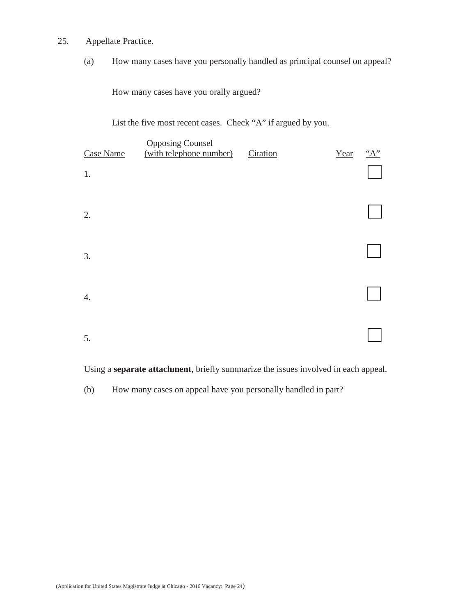- 25. Appellate Practice.
	- (a) How many cases have you personally handled as principal counsel on appeal?

How many cases have you orally argued?

List the five most recent cases. Check "A" if argued by you.

| Case Name<br>1. | <b>Opposing Counsel</b><br>(with telephone number) | Citation | Year | "A" |
|-----------------|----------------------------------------------------|----------|------|-----|
| 2.              |                                                    |          |      |     |
| 3.              |                                                    |          |      |     |
| 4.              |                                                    |          |      |     |
| 5.              |                                                    |          |      |     |

Using a **separate attachment**, briefly summarize the issues involved in each appeal.

(b) How many cases on appeal have you personally handled in part?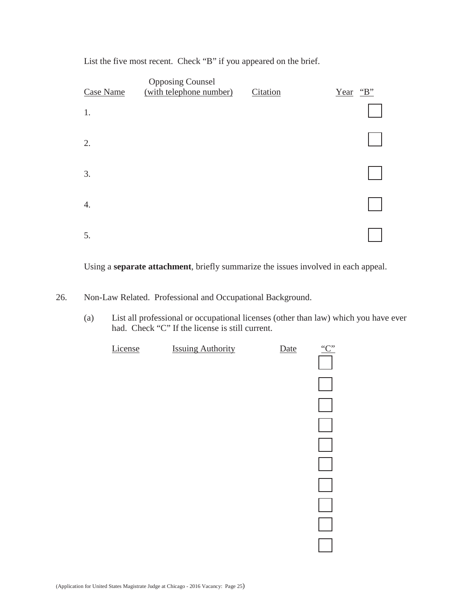List the five most recent. Check "B" if you appeared on the brief.

| Case Name | <b>Opposing Counsel</b><br>(with telephone number) | Citation | Year "B" |
|-----------|----------------------------------------------------|----------|----------|
| 1.        |                                                    |          |          |
| 2.        |                                                    |          |          |
| 3.        |                                                    |          |          |
| 4.        |                                                    |          |          |
| 5.        |                                                    |          |          |

Using a **separate attachment**, briefly summarize the issues involved in each appeal.

- 26. Non-Law Related. Professional and Occupational Background.
	- (a) List all professional or occupational licenses (other than law) which you have ever had. Check "C" If the license is still current.

| License | <b>Issuing Authority</b> | Date | C |
|---------|--------------------------|------|---|
|         |                          |      |   |
|         |                          |      |   |
|         |                          |      |   |
|         |                          |      |   |
|         |                          |      |   |
|         |                          |      |   |
|         |                          |      |   |
|         |                          |      |   |
|         |                          |      |   |
|         |                          |      |   |
|         |                          |      |   |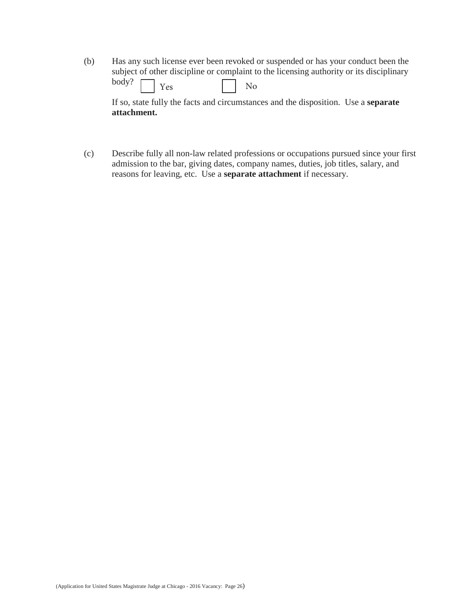(b) Has any such license ever been revoked or suspended or has your conduct been the subject of other discipline or complaint to the licensing authority or its disciplinary body? Yes No

If so, state fully the facts and circumstances and the disposition. Use a **separate attachment.** 

(c) Describe fully all non-law related professions or occupations pursued since your first admission to the bar, giving dates, company names, duties, job titles, salary, and reasons for leaving, etc. Use a **separate attachment** if necessary.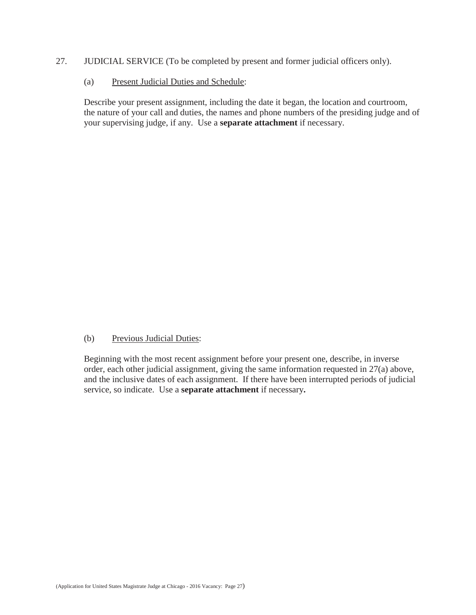- 27. JUDICIAL SERVICE (To be completed by present and former judicial officers only).
	- (a) Present Judicial Duties and Schedule:

Describe your present assignment, including the date it began, the location and courtroom, the nature of your call and duties, the names and phone numbers of the presiding judge and of your supervising judge, if any. Use a **separate attachment** if necessary.

#### (b) Previous Judicial Duties:

Beginning with the most recent assignment before your present one, describe, in inverse order, each other judicial assignment, giving the same information requested in 27(a) above, and the inclusive dates of each assignment. If there have been interrupted periods of judicial service, so indicate. Use a **separate attachment** if necessary**.**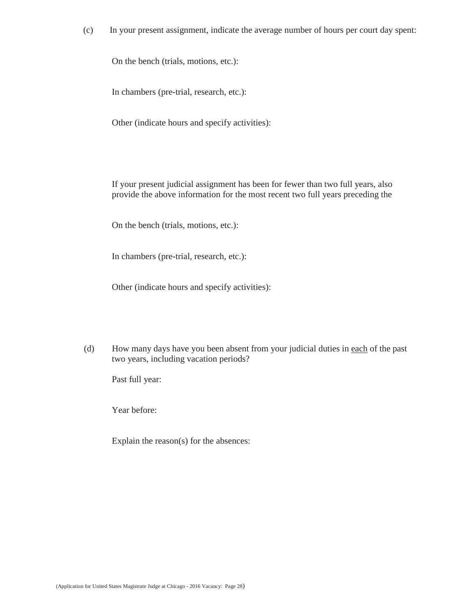(c) In your present assignment, indicate the average number of hours per court day spent:

On the bench (trials, motions, etc.):

In chambers (pre-trial, research, etc.):

Other (indicate hours and specify activities):

If your present judicial assignment has been for fewer than two full years, also provide the above information for the most recent two full years preceding the

On the bench (trials, motions, etc.):

In chambers (pre-trial, research, etc.):

Other (indicate hours and specify activities):

(d) How many days have you been absent from your judicial duties in each of the past two years, including vacation periods?

Past full year:

Year before:

Explain the reason(s) for the absences: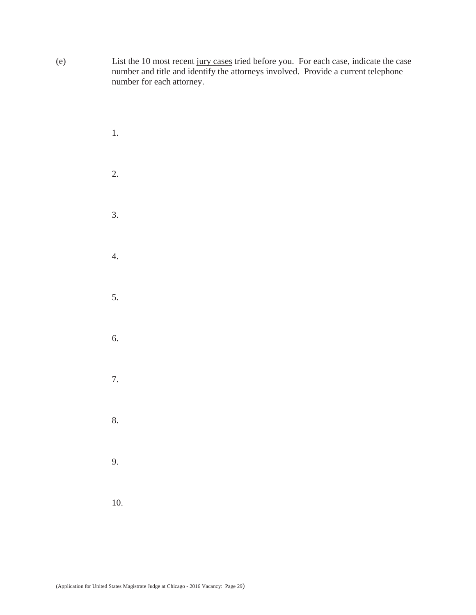(e) List the 10 most recent jury cases tried before you. For each case, indicate the case number and title and identify the attorneys involved. Provide a current telephone number for each attorney.

| 1.  |  |  |
|-----|--|--|
| 2.  |  |  |
| 3.  |  |  |
| 4.  |  |  |
| 5.  |  |  |
| 6.  |  |  |
| 7.  |  |  |
| 8.  |  |  |
| 9.  |  |  |
| 10. |  |  |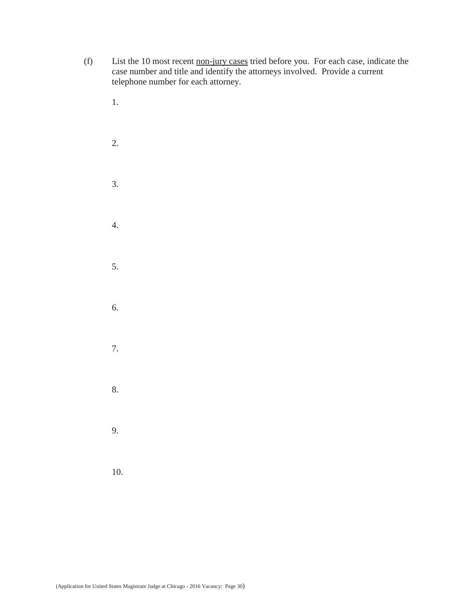- (f) List the 10 most recent non-jury cases tried before you. For each case, indicate the case number and title and identify the attorneys involved. Provide a current telephone number for each attorney.
	- 1. 2. 3. 4. 5. 6. 7. 8. 9. 10.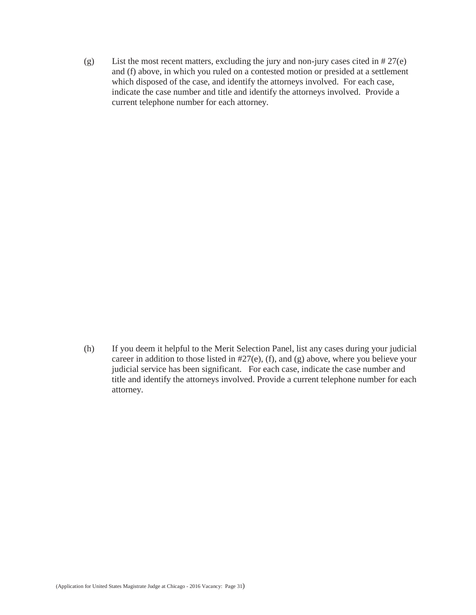(g) List the most recent matters, excluding the jury and non-jury cases cited in # 27(e) and (f) above, in which you ruled on a contested motion or presided at a settlement which disposed of the case, and identify the attorneys involved. For each case, indicate the case number and title and identify the attorneys involved. Provide a current telephone number for each attorney.

(h) If you deem it helpful to the Merit Selection Panel, list any cases during your judicial career in addition to those listed in #27(e), (f), and (g) above, where you believe your judicial service has been significant. For each case, indicate the case number and title and identify the attorneys involved. Provide a current telephone number for each attorney.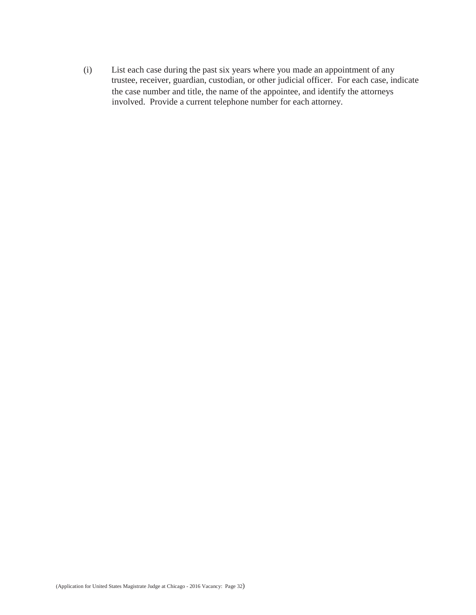the case number and title, the name of the appointee, and identify the attorneys involved. Provide a current telephone number for each attorney. (i) List each case during the past six years where you made an appointment of any trustee, receiver, guardian, custodian, or other judicial officer. For each case, indicate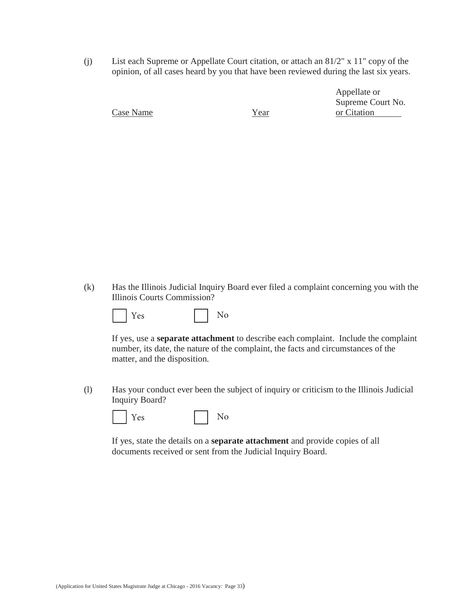(j) List each Supreme or Appellate Court citation, or attach an 81/2" x 11" copy of the opinion, of all cases heard by you that have been reviewed during the last six years.

Appellate or Supreme Court No. Case Name Year Year or Citation

(k) Has the Illinois Judicial Inquiry Board ever filed a complaint concerning you with the Illinois Courts Commission?

| . .<br>$\epsilon$<br>Y<br>÷ | Q |
|-----------------------------|---|
|-----------------------------|---|

If yes, use a **separate attachment** to describe each complaint. Include the complaint number, its date, the nature of the complaint, the facts and circumstances of the matter, and the disposition.

(l) Has your conduct ever been the subject of inquiry or criticism to the Illinois Judicial Inquiry Board?

|  | $\rho$<br>Y |  |  | $\Omega$ |
|--|-------------|--|--|----------|
|--|-------------|--|--|----------|

If yes, state the details on a **separate attachment** and provide copies of all documents received or sent from the Judicial Inquiry Board.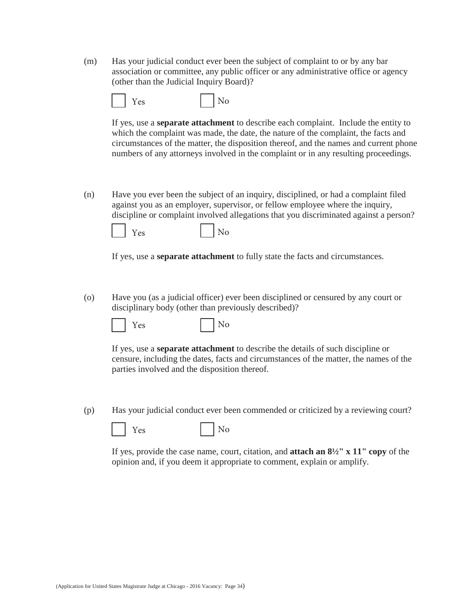(m) Has your judicial conduct ever been the subject of complaint to or by any bar association or committee, any public officer or any administrative office or agency (other than the Judicial Inquiry Board)?

|  | $\rho$<br>Y |  | ъT<br>l No |
|--|-------------|--|------------|
|--|-------------|--|------------|

If yes, use a **separate attachment** to describe each complaint. Include the entity to which the complaint was made, the date, the nature of the complaint, the facts and circumstances of the matter, the disposition thereof, and the names and current phone numbers of any attorneys involved in the complaint or in any resulting proceedings.

(n) Have you ever been the subject of an inquiry, disciplined, or had a complaint filed against you as an employer, supervisor, or fellow employee where the inquiry, discipline or complaint involved allegations that you discriminated against a person?

| Y<br>$\rho_{\rm S}$ |  | No |
|---------------------|--|----|
|---------------------|--|----|

If yes, use a **separate attachment** to fully state the facts and circumstances.

(o) Have you (as a judicial officer) ever been disciplined or censured by any court or disciplinary body (other than previously described)?

 $Yes$   $|No$ 

If yes, use a **separate attachment** to describe the details of such discipline or censure, including the dates, facts and circumstances of the matter, the names of the parties involved and the disposition thereof.

(p) Has your judicial conduct ever been commended or criticized by a reviewing court?



If yes, provide the case name, court, citation, and **attach an 8½" x 11" copy** of the opinion and, if you deem it appropriate to comment, explain or amplify.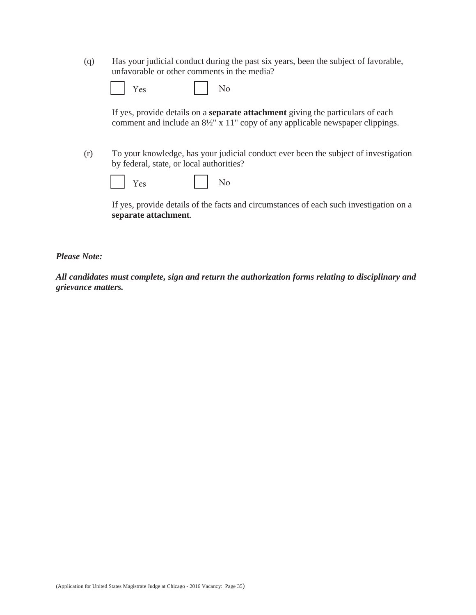(q) Has your judicial conduct during the past six years, been the subject of favorable, unfavorable or other comments in the media?

| ________ |  |
|----------|--|
|----------|--|

If yes, provide details on a **separate attachment** giving the particulars of each comment and include an 8½" x 11" copy of any applicable newspaper clippings.

(r) To your knowledge, has your judicial conduct ever been the subject of investigation by federal, state, or local authorities?

|  | Yes |  |  | N٢ |
|--|-----|--|--|----|
|--|-----|--|--|----|

If yes, provide details of the facts and circumstances of each such investigation on a **separate attachment**.

*Please Note:*

*All candidates must complete, sign and return the authorization forms relating to disciplinary and grievance matters.*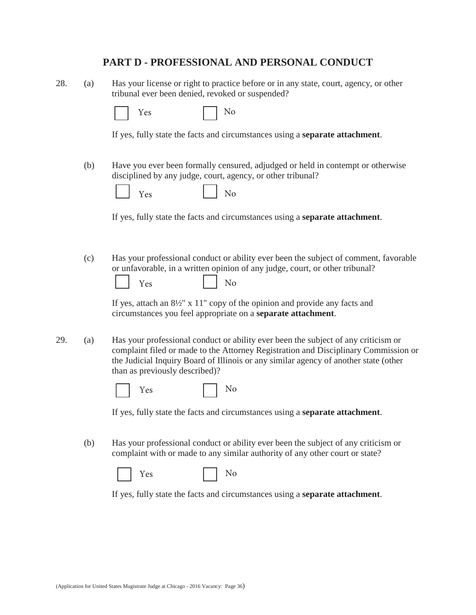## **PART D - PROFESSIONAL AND PERSONAL CONDUCT**

28. (a) Has your license or right to practice before or in any state, court, agency, or other tribunal ever been denied, revoked or suspended?

| $\sim$ $\sim$ |  | $\overline{\phantom{0}}$ |
|---------------|--|--------------------------|
|---------------|--|--------------------------|

If yes, fully state the facts and circumstances using a **separate attachment**.

(b) Have you ever been formally censured, adjudged or held in contempt or otherwise disciplined by any judge, court, agency, or other tribunal?

|  | PS<br>-- |  |  | - |
|--|----------|--|--|---|
|--|----------|--|--|---|

If yes, fully state the facts and circumstances using a **separate attachment**.

(c) Has your professional conduct or ability ever been the subject of comment, favorable or unfavorable, in a written opinion of any judge, court, or other tribunal?

|  | $\sim$<br>∽<br>÷ |  | - |
|--|------------------|--|---|
|--|------------------|--|---|

If yes, attach an 8½" x 11" copy of the opinion and provide any facts and circumstances you feel appropriate on a **separate attachment**.

29. (a) Has your professional conduct or ability ever been the subject of any criticism or complaint filed or made to the Attorney Registration and Disciplinary Commission or the Judicial Inquiry Board of Illinois or any similar agency of another state (other than as previously described)?

|--|--|--|

If yes, fully state the facts and circumstances using a **separate attachment**.

(b) Has your professional conduct or ability ever been the subject of any criticism or complaint with or made to any similar authority of any other court or state?

|  |  |  |  | - |
|--|--|--|--|---|
|--|--|--|--|---|

If yes, fully state the facts and circumstances using a **separate attachment**.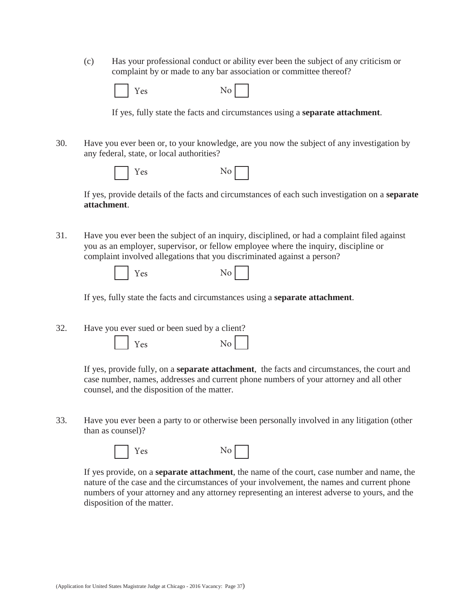(c) Has your professional conduct or ability ever been the subject of any criticism or complaint by or made to any bar association or committee thereof?

| No<br>Yes |
|-----------|
|-----------|

If yes, fully state the facts and circumstances using a **separate attachment**.

30. Have you ever been or, to your knowledge, are you now the subject of any investigation by any federal, state, or local authorities?

| Yes | No |
|-----|----|
|-----|----|

If yes, provide details of the facts and circumstances of each such investigation on a **separate attachment**.

31. Have you ever been the subject of an inquiry, disciplined, or had a complaint filed against you as an employer, supervisor, or fellow employee where the inquiry, discipline or complaint involved allegations that you discriminated against a person?

| I | Yes |  |
|---|-----|--|
|---|-----|--|

| ۰, |  |
|----|--|
|----|--|

If yes, fully state the facts and circumstances using a **separate attachment**.

32. Have you ever sued or been sued by a client?  $Yes$   $No$ 

> If yes, provide fully, on a **separate attachment**, the facts and circumstances, the court and case number, names, addresses and current phone numbers of your attorney and all other counsel, and the disposition of the matter.

33. Have you ever been a party to or otherwise been personally involved in any litigation (other than as counsel)?





If yes provide, on a **separate attachment**, the name of the court, case number and name, the nature of the case and the circumstances of your involvement, the names and current phone numbers of your attorney and any attorney representing an interest adverse to yours, and the disposition of the matter.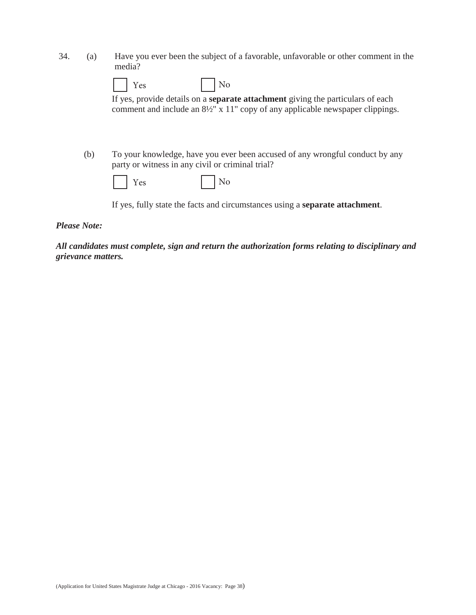| 34. | Have you ever been the subject of a favorable, unfavorable or other comment in the |
|-----|------------------------------------------------------------------------------------|
|     | media?                                                                             |

|     | No<br>Yes                                                                                                                                                                           |
|-----|-------------------------------------------------------------------------------------------------------------------------------------------------------------------------------------|
|     | If yes, provide details on a <b>separate attachment</b> giving the particulars of each<br>comment and include an $8\frac{1}{2}$ " x 11" copy of any applicable newspaper clippings. |
| (b) | To your knowledge, have you ever been accused of any wrongful conduct by any<br>party or witness in any civil or criminal trial?                                                    |
|     | No<br>Yes                                                                                                                                                                           |
|     | If yes, fully state the facts and circumstances using a <b>separate attachment</b> .                                                                                                |

*Please Note:*

*All candidates must complete, sign and return the authorization forms relating to disciplinary and grievance matters.*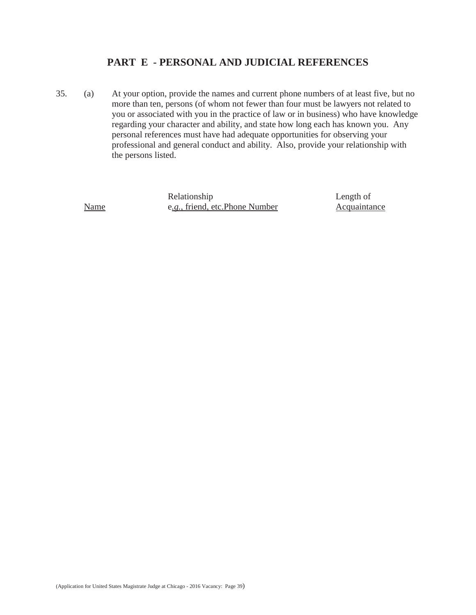## **PART E - PERSONAL AND JUDICIAL REFERENCES**

35. (a) At your option, provide the names and current phone numbers of at least five, but no more than ten, persons (of whom not fewer than four must be lawyers not related to you or associated with you in the practice of law or in business) who have knowledge regarding your character and ability, and state how long each has known you. Any personal references must have had adequate opportunities for observing your professional and general conduct and ability. Also, provide your relationship with the persons listed.

Relationship Name e*.g.*, friend, etc. Phone Number Length of Acquaintance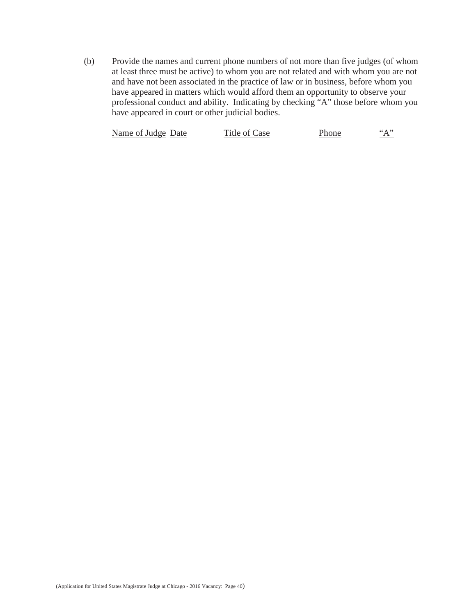(b) Provide the names and current phone numbers of not more than five judges (of whom at least three must be active) to whom you are not related and with whom you are not and have not been associated in the practice of law or in business, before whom you have appeared in matters which would afford them an opportunity to observe your professional conduct and ability. Indicating by checking "A" those before whom you have appeared in court or other judicial bodies.

| Name of Judge Date | Title of Case | Phone | $\left( \cdot \wedge \cdot \right)$ |
|--------------------|---------------|-------|-------------------------------------|
|--------------------|---------------|-------|-------------------------------------|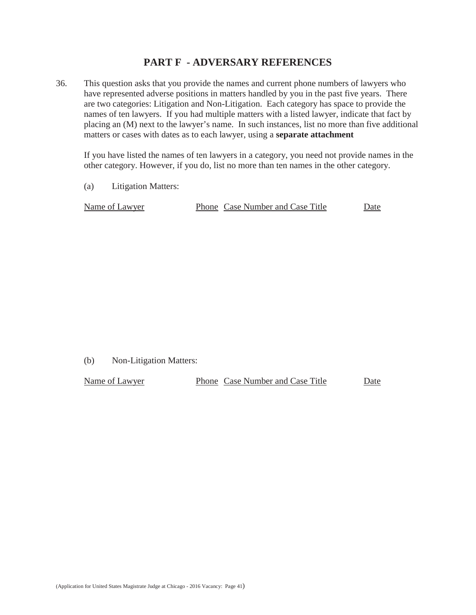## **PART F - ADVERSARY REFERENCES**

36. This question asks that you provide the names and current phone numbers of lawyers who have represented adverse positions in matters handled by you in the past five years. There are two categories: Litigation and Non-Litigation. Each category has space to provide the names of ten lawyers. If you had multiple matters with a listed lawyer, indicate that fact by placing an (M) next to the lawyer's name. In such instances, list no more than five additional matters or cases with dates as to each lawyer, using a **separate attachment**

If you have listed the names of ten lawyers in a category, you need not provide names in the other category. However, if you do, list no more than ten names in the other category.

(a) Litigation Matters:

| Name of Lawyer | Phone Case Number and Case Title | Date |
|----------------|----------------------------------|------|
|                |                                  |      |

(b) Non-Litigation Matters:

| Name of Lawyer | Phone Case Number and Case Title | Date |
|----------------|----------------------------------|------|
|                |                                  |      |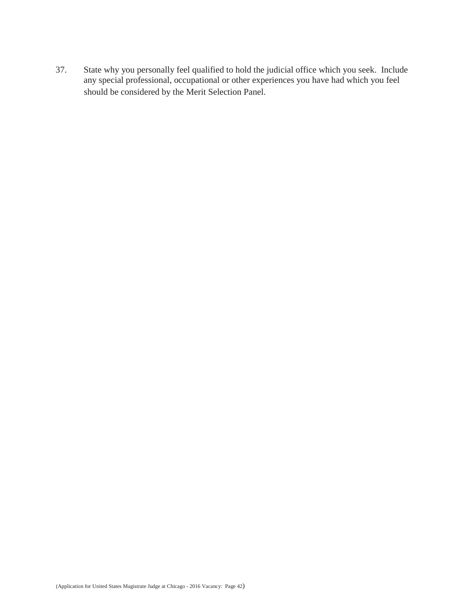should be considered by the Merit Selection Panel. 37. State why you personally feel qualified to hold the judicial office which you seek. Include any special professional, occupational or other experiences you have had which you feel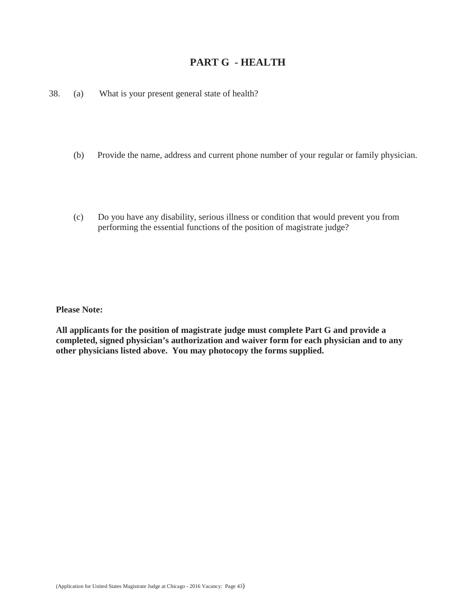## **PART G - HEALTH**

38. (a) What is your present general state of health?

- (b) Provide the name, address and current phone number of your regular or family physician.
- (c) Do you have any disability, serious illness or condition that would prevent you from performing the essential functions of the position of magistrate judge?

**Please Note:**

**All applicants for the position of magistrate judge must complete Part G and provide a completed, signed physician's authorization and waiver form for each physician and to any other physicians listed above. You may photocopy the forms supplied.**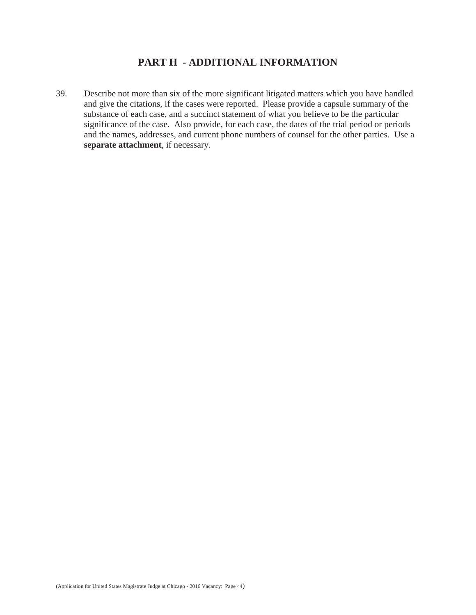## **PART H - ADDITIONAL INFORMATION**

39. Describe not more than six of the more significant litigated matters which you have handled and give the citations, if the cases were reported. Please provide a capsule summary of the substance of each case, and a succinct statement of what you believe to be the particular significance of the case. Also provide, for each case, the dates of the trial period or periods and the names, addresses, and current phone numbers of counsel for the other parties. Use a **separate attachment**, if necessary.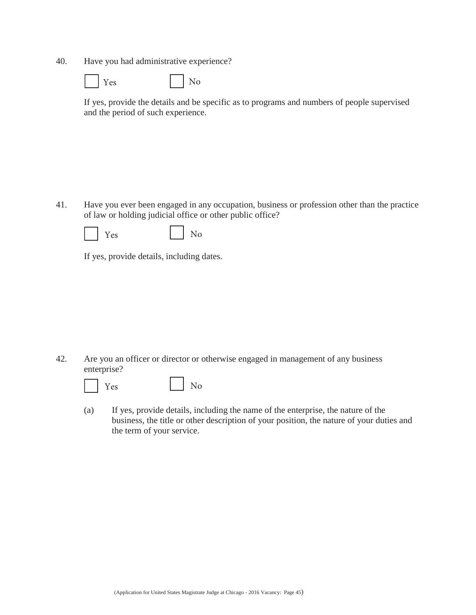40. Have you had administrative experience?

| es |  | No |
|----|--|----|
|----|--|----|

If yes, provide the details and be specific as to programs and numbers of people supervised and the period of such experience.

41. Have you ever been engaged in any occupation, business or profession other than the practice of law or holding judicial office or other public office?

|  | 'es<br>Y |  | $\rm No$ |
|--|----------|--|----------|
|--|----------|--|----------|

If yes, provide details, including dates.

42. Are you an officer or director or otherwise engaged in management of any business enterprise?



(a) If yes, provide details, including the name of the enterprise, the nature of the business, the title or other description of your position, the nature of your duties and the term of your service.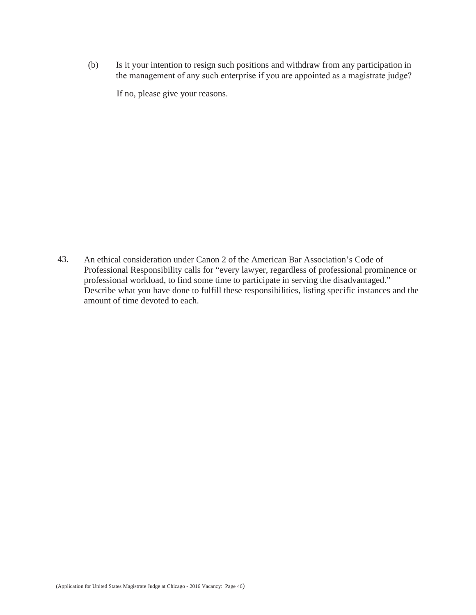(b) Is it your intention to resign such positions and withdraw from any participation in the management of any such enterprise if you are appointed as a magistrate judge?

If no, please give your reasons.

43. An ethical consideration under Canon 2 of the American Bar Association's Code of Professional Responsibility calls for "every lawyer, regardless of professional prominence or professional workload, to find some time to participate in serving the disadvantaged." Describe what you have done to fulfill these responsibilities, listing specific instances and the amount of time devoted to each.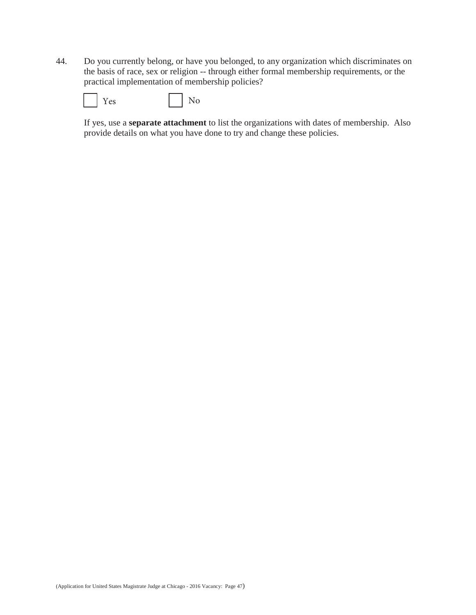44. Do you currently belong, or have you belonged, to any organization which discriminates on the basis of race, sex or religion -- through either formal membership requirements, or the practical implementation of membership policies?

|  | ρς |  |  | N٥ |
|--|----|--|--|----|
|--|----|--|--|----|

If yes, use a **separate attachment** to list the organizations with dates of membership. Also provide details on what you have done to try and change these policies.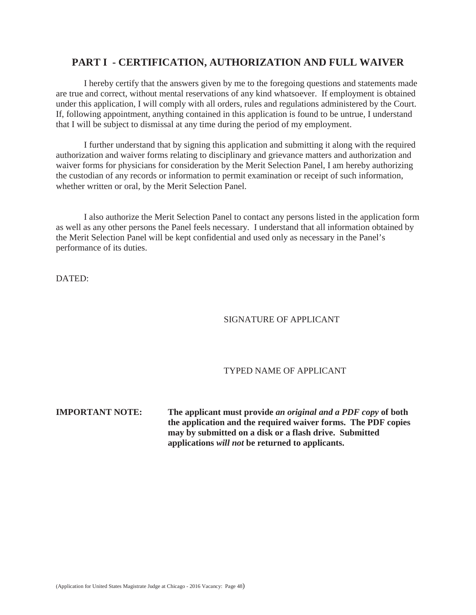## **PART I - CERTIFICATION, AUTHORIZATION AND FULL WAIVER**

I hereby certify that the answers given by me to the foregoing questions and statements made are true and correct, without mental reservations of any kind whatsoever. If employment is obtained under this application, I will comply with all orders, rules and regulations administered by the Court. If, following appointment, anything contained in this application is found to be untrue, I understand that I will be subject to dismissal at any time during the period of my employment.

I further understand that by signing this application and submitting it along with the required authorization and waiver forms relating to disciplinary and grievance matters and authorization and waiver forms for physicians for consideration by the Merit Selection Panel, I am hereby authorizing the custodian of any records or information to permit examination or receipt of such information, whether written or oral, by the Merit Selection Panel.

I also authorize the Merit Selection Panel to contact any persons listed in the application form as well as any other persons the Panel feels necessary. I understand that all information obtained by the Merit Selection Panel will be kept confidential and used only as necessary in the Panel's performance of its duties.

DATED:

#### SIGNATURE OF APPLICANT

#### TYPED NAME OF APPLICANT

**IMPORTANT NOTE: The applicant must provide** *an original and a PDF copy* **of both the application and the required waiver forms. The PDF copies may by submitted on a disk or a flash drive. Submitted applications** *will not* **be returned to applicants.**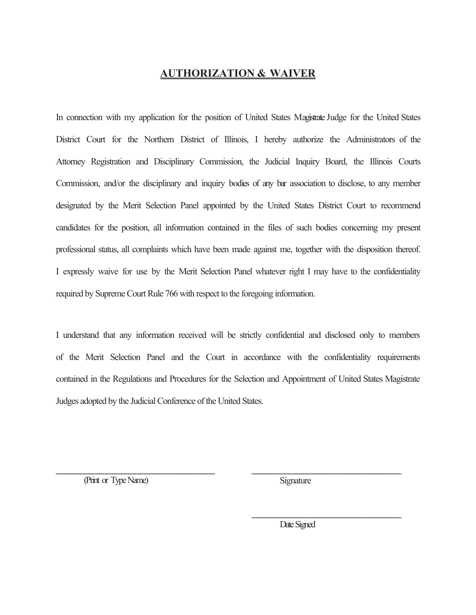# **AUTHORIZATION & WAIVER**

In connection with my application for the position of United States Magistrate Judge for the United States District Court for the Northern District of Illinois, I hereby authorize the Administrators of the Attorney Registration and Disciplinary Commission, the Judicial Inquiry Board, the Illinois Courts Commission, and/or the disciplinary and inquiry bodies of any bar association to disclose, to any member designated by the Merit Selection Panel appointed by the United States District Court to recommend candidates for the position, all information contained in the files of such bodies concerning my present professional status, all complaints which have been made against me, together with the disposition thereof. I expressly waive for use by the Merit Selection Panel whatever right I may have to the confidentiality required by Supreme Court Rule 766 with respect to the foregoing information.

I understand that any information received will be strictly confidential and disclosed only to members of the Merit Selection Panel and the Court in accordance with the confidentiality requirements contained in the Regulations and Procedures for the Selection and Appointment of United States Magistrate Judges adopted by the Judicial Conference of the United States.

\_\_\_\_\_\_\_\_\_\_\_\_\_\_\_\_\_\_\_\_\_\_\_\_\_\_\_\_\_\_\_\_\_\_ \_\_\_\_\_\_\_\_\_\_\_\_\_\_\_\_\_\_\_\_\_\_\_\_\_\_\_\_\_\_\_\_

(Print or Type Name) Signature

Date Signed

\_\_\_\_\_\_\_\_\_\_\_\_\_\_\_\_\_\_\_\_\_\_\_\_\_\_\_\_\_\_\_\_